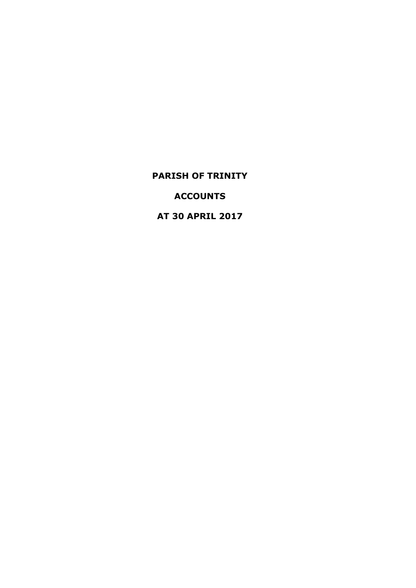**ACCOUNTS**

**AT 30 APRIL 2017**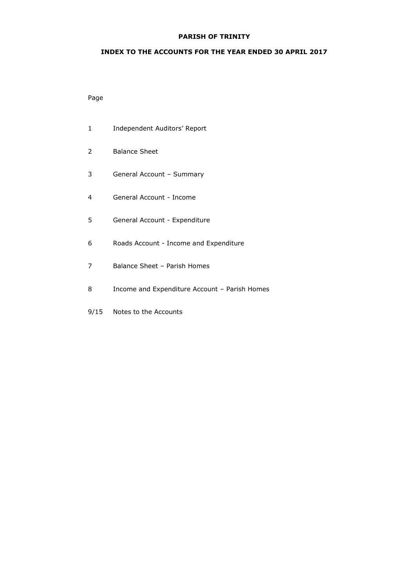## **INDEX TO THE ACCOUNTS FOR THE YEAR ENDED 30 APRIL 2017**

## Page

- Independent Auditors' Report
- Balance Sheet
- General Account Summary
- General Account Income
- General Account Expenditure
- Roads Account Income and Expenditure
- Balance Sheet Parish Homes
- Income and Expenditure Account Parish Homes
- 9/15 Notes to the Accounts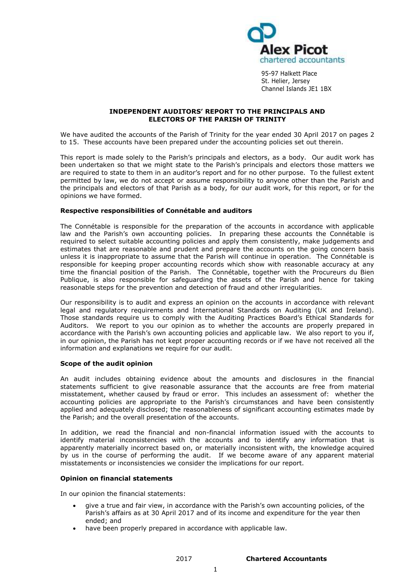

95-97 Halkett Place St. Helier, Jersey Channel Islands JE1 1BX

#### **INDEPENDENT AUDITORS' REPORT TO THE PRINCIPALS AND ELECTORS OF THE PARISH OF TRINITY**

We have audited the accounts of the Parish of Trinity for the year ended 30 April 2017 on pages 2 to 15. These accounts have been prepared under the accounting policies set out therein.

This report is made solely to the Parish's principals and electors, as a body. Our audit work has been undertaken so that we might state to the Parish's principals and electors those matters we are required to state to them in an auditor's report and for no other purpose. To the fullest extent permitted by law, we do not accept or assume responsibility to anyone other than the Parish and the principals and electors of that Parish as a body, for our audit work, for this report, or for the opinions we have formed.

#### **Respective responsibilities of Connétable and auditors**

The Connétable is responsible for the preparation of the accounts in accordance with applicable law and the Parish's own accounting policies. In preparing these accounts the Connétable is required to select suitable accounting policies and apply them consistently, make judgements and estimates that are reasonable and prudent and prepare the accounts on the going concern basis unless it is inappropriate to assume that the Parish will continue in operation. The Connétable is responsible for keeping proper accounting records which show with reasonable accuracy at any time the financial position of the Parish. The Connétable, together with the Procureurs du Bien Publique, is also responsible for safeguarding the assets of the Parish and hence for taking reasonable steps for the prevention and detection of fraud and other irregularities.

Our responsibility is to audit and express an opinion on the accounts in accordance with relevant legal and regulatory requirements and International Standards on Auditing (UK and Ireland). Those standards require us to comply with the Auditing Practices Board's Ethical Standards for Auditors. We report to you our opinion as to whether the accounts are properly prepared in accordance with the Parish's own accounting policies and applicable law. We also report to you if, in our opinion, the Parish has not kept proper accounting records or if we have not received all the information and explanations we require for our audit.

#### **Scope of the audit opinion**

An audit includes obtaining evidence about the amounts and disclosures in the financial statements sufficient to give reasonable assurance that the accounts are free from material misstatement, whether caused by fraud or error. This includes an assessment of: whether the accounting policies are appropriate to the Parish's circumstances and have been consistently applied and adequately disclosed; the reasonableness of significant accounting estimates made by the Parish; and the overall presentation of the accounts.

In addition, we read the financial and non-financial information issued with the accounts to identify material inconsistencies with the accounts and to identify any information that is apparently materially incorrect based on, or materially inconsistent with, the knowledge acquired by us in the course of performing the audit. If we become aware of any apparent material misstatements or inconsistencies we consider the implications for our report.

#### **Opinion on financial statements**

In our opinion the financial statements:

- give a true and fair view, in accordance with the Parish's own accounting policies, of the Parish's affairs as at 30 April 2017 and of its income and expenditure for the year then ended; and
- have been properly prepared in accordance with applicable law.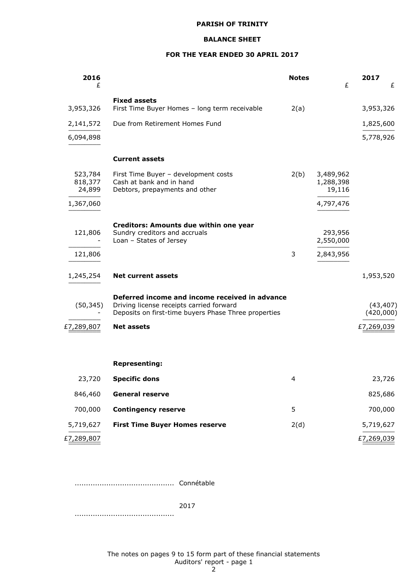## **BALANCE SHEET**

#### **FOR THE YEAR ENDED 30 APRIL 2017**

| 2016<br>£                    |                                                                                                                                                    | <b>Notes</b> | £                                | 2017<br>£              |
|------------------------------|----------------------------------------------------------------------------------------------------------------------------------------------------|--------------|----------------------------------|------------------------|
| 3,953,326                    | <b>Fixed assets</b><br>First Time Buyer Homes - long term receivable                                                                               | 2(a)         |                                  | 3,953,326              |
| 2,141,572                    | Due from Retirement Homes Fund                                                                                                                     |              |                                  | 1,825,600              |
| 6,094,898                    |                                                                                                                                                    |              |                                  | 5,778,926              |
|                              | <b>Current assets</b>                                                                                                                              |              |                                  |                        |
| 523,784<br>818,377<br>24,899 | First Time Buyer - development costs<br>Cash at bank and in hand<br>Debtors, prepayments and other                                                 | 2(b)         | 3,489,962<br>1,288,398<br>19,116 |                        |
| 1,367,060                    |                                                                                                                                                    |              | 4,797,476                        |                        |
| 121,806                      | Creditors: Amounts due within one year<br>Sundry creditors and accruals<br>Loan - States of Jersey                                                 |              | 293,956<br>2,550,000             |                        |
| 121,806                      |                                                                                                                                                    | 3            | 2,843,956                        |                        |
| 1,245,254                    | <b>Net current assets</b>                                                                                                                          |              |                                  | 1,953,520              |
| (50, 345)                    | Deferred income and income received in advance<br>Driving license receipts carried forward<br>Deposits on first-time buyers Phase Three properties |              |                                  | (43, 407)<br>(420,000) |
| £7,289,807                   | <b>Net assets</b>                                                                                                                                  |              |                                  | £7,269,039             |
|                              |                                                                                                                                                    |              |                                  |                        |
|                              | <b>Representing:</b>                                                                                                                               |              |                                  |                        |
| 23,720                       | <b>Specific dons</b>                                                                                                                               | 4            |                                  | 23,726                 |
| 846,460                      | <b>General reserve</b>                                                                                                                             |              |                                  | 825,686                |
| 700,000                      | <b>Contingency reserve</b>                                                                                                                         | 5            |                                  | 700,000                |
| 5,719,627                    | <b>First Time Buyer Homes reserve</b>                                                                                                              | 2(d)         |                                  | 5,719,627              |
| £7,289,807                   |                                                                                                                                                    |              |                                  | £7,269,039             |

............................................ Connétable

2017 ............................................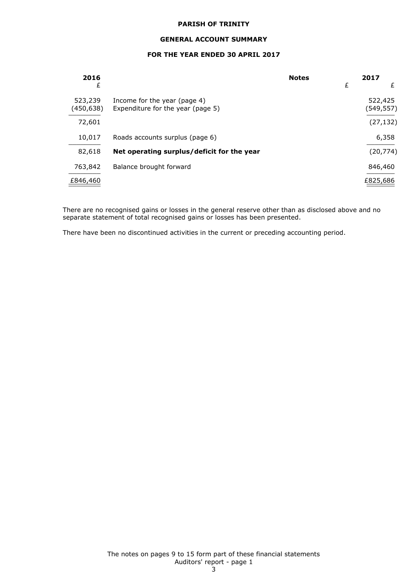#### **GENERAL ACCOUNT SUMMARY**

## **FOR THE YEAR ENDED 30 APRIL 2017**

| 2016                  |                                                                   | <b>Notes</b> |   | 2017                 |
|-----------------------|-------------------------------------------------------------------|--------------|---|----------------------|
| £                     |                                                                   |              | £ | £                    |
| 523,239<br>(450, 638) | Income for the year (page 4)<br>Expenditure for the year (page 5) |              |   | 522,425<br>(549,557) |
| 72,601                |                                                                   |              |   | (27, 132)            |
| 10,017                | Roads accounts surplus (page 6)                                   |              |   | 6,358                |
| 82,618                | Net operating surplus/deficit for the year                        |              |   | (20, 774)            |
| 763,842               | Balance brought forward                                           |              |   | 846,460              |
| £846,460              |                                                                   |              |   | £825,686             |

There are no recognised gains or losses in the general reserve other than as disclosed above and no separate statement of total recognised gains or losses has been presented.

There have been no discontinued activities in the current or preceding accounting period.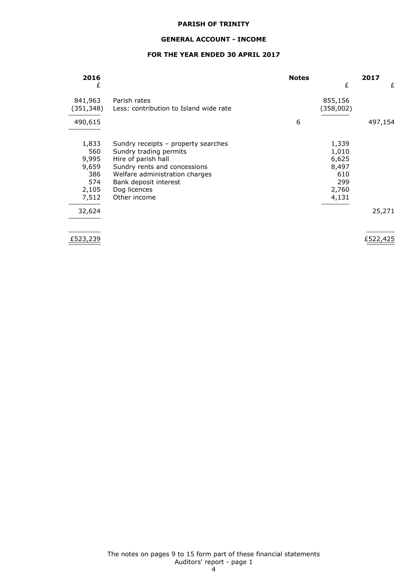## **GENERAL ACCOUNT - INCOME**

# **FOR THE YEAR ENDED 30 APRIL 2017**

| 2016                                                           |                                                                                                                                                                                                                 | <b>Notes</b> |                                                                  | 2017     |
|----------------------------------------------------------------|-----------------------------------------------------------------------------------------------------------------------------------------------------------------------------------------------------------------|--------------|------------------------------------------------------------------|----------|
| £                                                              |                                                                                                                                                                                                                 |              | £                                                                | £        |
| 841,963<br>(351,348)                                           | Parish rates<br>Less: contribution to Island wide rate                                                                                                                                                          |              | 855,156<br>(358,002)                                             |          |
| 490,615                                                        |                                                                                                                                                                                                                 | 6            |                                                                  | 497,154  |
| 1,833<br>560<br>9,995<br>9,659<br>386<br>574<br>2,105<br>7,512 | Sundry receipts - property searches<br>Sundry trading permits<br>Hire of parish hall<br>Sundry rents and concessions<br>Welfare administration charges<br>Bank deposit interest<br>Dog licences<br>Other income |              | 1,339<br>1,010<br>6,625<br>8,497<br>610<br>299<br>2,760<br>4,131 |          |
| 32,624                                                         |                                                                                                                                                                                                                 |              |                                                                  | 25,271   |
| £523,239                                                       |                                                                                                                                                                                                                 |              |                                                                  | £522,425 |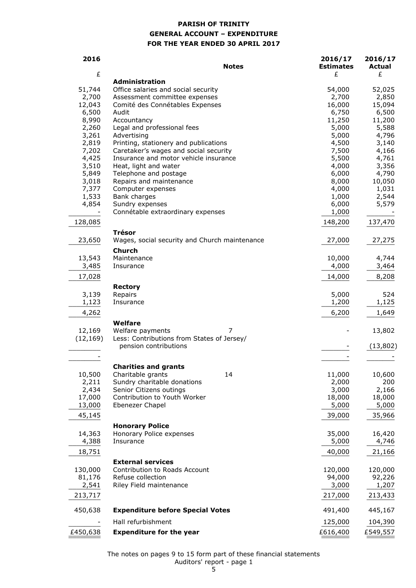# **PARISH OF TRINITY GENERAL ACCOUNT – EXPENDITURE FOR THE YEAR ENDED 30 APRIL 2017**

| 2016      | <b>Notes</b>                                  | 2016/17<br><b>Estimates</b> | 2016/17<br><b>Actual</b> |
|-----------|-----------------------------------------------|-----------------------------|--------------------------|
| £         | <b>Administration</b>                         | £                           | £                        |
| 51,744    | Office salaries and social security           | 54,000                      | 52,025                   |
| 2,700     | Assessment committee expenses                 | 2,700                       | 2,850                    |
| 12,043    | Comité des Connétables Expenses               | 16,000                      | 15,094                   |
| 6,500     | Audit                                         | 6,750                       | 6,500                    |
| 8,990     | Accountancy                                   | 11,250                      | 11,200                   |
| 2,260     | Legal and professional fees                   | 5,000                       | 5,588                    |
| 3,261     | Advertising                                   | 5,000                       | 4,796                    |
| 2,819     | Printing, stationery and publications         | 4,500                       | 3,140                    |
| 7,202     | Caretaker's wages and social security         | 7,500                       | 4,166                    |
| 4,425     | Insurance and motor vehicle insurance         | 5,500                       | 4,761                    |
| 3,510     | Heat, light and water                         | 4,000                       | 3,356                    |
| 5,849     | Telephone and postage                         | 6,000                       | 4,790                    |
| 3,018     | Repairs and maintenance                       | 8,000                       | 10,050                   |
| 7,377     | Computer expenses                             | 4,000                       | 1,031                    |
| 1,533     | Bank charges                                  | 1,000                       | 2,544                    |
| 4,854     | Sundry expenses                               | 6,000                       | 5,579                    |
|           | Connétable extraordinary expenses             | 1,000                       |                          |
| 128,085   |                                               | 148,200                     | 137,470                  |
|           | <b>Trésor</b>                                 |                             |                          |
| 23,650    | Wages, social security and Church maintenance | 27,000                      | 27,275                   |
|           | <b>Church</b>                                 |                             |                          |
| 13,543    | Maintenance                                   | 10,000                      | 4,744                    |
| 3,485     | Insurance                                     | 4,000                       | 3,464                    |
| 17,028    |                                               | 14,000                      | 8,208                    |
|           | <b>Rectory</b>                                |                             |                          |
| 3,139     | Repairs                                       | 5,000                       | 524                      |
| 1,123     | Insurance                                     | 1,200                       | 1,125                    |
| 4,262     |                                               | 6,200                       | 1,649                    |
|           | Welfare                                       |                             |                          |
| 12,169    | Welfare payments<br>7                         |                             | 13,802                   |
| (12, 169) | Less: Contributions from States of Jersey/    |                             |                          |
|           | pension contributions                         |                             | (13, 802)                |
|           |                                               |                             |                          |
|           | <b>Charities and grants</b>                   |                             |                          |
| 10,500    | 14<br>Charitable grants                       | 11,000                      | 10,600                   |
| 2,211     | Sundry charitable donations                   | 2,000                       | 200                      |
| 2,434     | Senior Citizens outings                       | 3,000                       | 2,166                    |
| 17,000    | Contribution to Youth Worker                  | 18,000                      | 18,000                   |
| 13,000    | Ebenezer Chapel                               | 5,000                       | 5,000                    |
| 45,145    |                                               | 39,000                      | 35,966                   |
|           | <b>Honorary Police</b>                        |                             |                          |
| 14,363    | Honorary Police expenses                      | 35,000                      | 16,420                   |
| 4,388     | Insurance                                     | 5,000                       | 4,746                    |
| 18,751    |                                               | 40,000                      | 21,166                   |
|           | <b>External services</b>                      |                             |                          |
| 130,000   | Contribution to Roads Account                 | 120,000                     | 120,000                  |
| 81,176    | Refuse collection                             | 94,000                      | 92,226                   |
| 2,541     | Riley Field maintenance                       | 3,000                       | 1,207                    |
| 213,717   |                                               | 217,000                     | 213,433                  |
| 450,638   | <b>Expenditure before Special Votes</b>       | 491,400                     | 445,167                  |
|           | Hall refurbishment                            | 125,000                     | 104,390                  |
| £450,638  | <b>Expenditure for the year</b>               | £616,400                    | £549,557                 |
|           |                                               |                             |                          |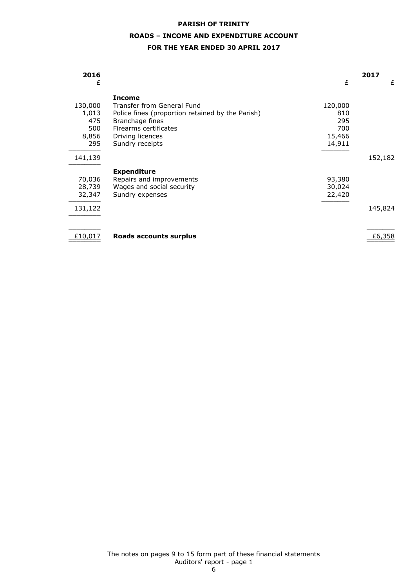# **PARISH OF TRINITY ROADS – INCOME AND EXPENDITURE ACCOUNT**

## **FOR THE YEAR ENDED 30 APRIL 2017**

| 2016    |                                                  |         | 2017    |
|---------|--------------------------------------------------|---------|---------|
| £       |                                                  | £       | £       |
|         | <b>Income</b>                                    |         |         |
| 130,000 | Transfer from General Fund                       | 120,000 |         |
| 1,013   | Police fines (proportion retained by the Parish) | 810     |         |
| 475     | Branchage fines                                  | 295     |         |
| 500     | Firearms certificates                            | 700     |         |
| 8,856   | Driving licences                                 | 15,466  |         |
| 295     | Sundry receipts                                  | 14,911  |         |
| 141,139 |                                                  |         | 152,182 |
|         | <b>Expenditure</b>                               |         |         |
| 70,036  | Repairs and improvements                         | 93,380  |         |
| 28,739  | Wages and social security                        | 30,024  |         |
| 32,347  | Sundry expenses                                  | 22,420  |         |
| 131,122 |                                                  |         | 145,824 |
|         |                                                  |         |         |
| £10,017 | Roads accounts surplus                           |         | £6,358  |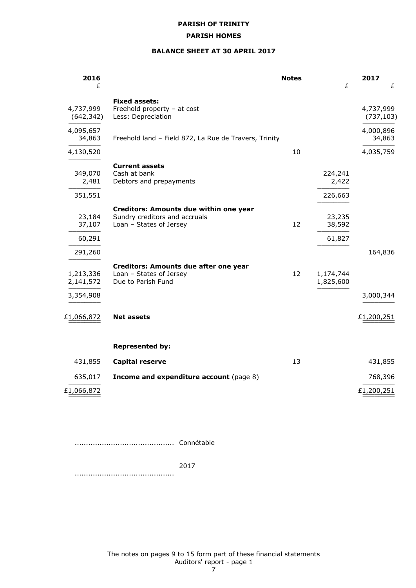## **PARISH HOMES**

## **BALANCE SHEET AT 30 APRIL 2017**

| 2016<br>£                         |                                                                                                    | <b>Notes</b> | £                           | 2017<br>£               |
|-----------------------------------|----------------------------------------------------------------------------------------------------|--------------|-----------------------------|-------------------------|
| 4,737,999<br>(642, 342)           | <b>Fixed assets:</b><br>Freehold property - at cost<br>Less: Depreciation                          |              |                             | 4,737,999<br>(737, 103) |
| 4,095,657<br>34,863               | Freehold land - Field 872, La Rue de Travers, Trinity                                              |              |                             | 4,000,896<br>34,863     |
| 4,130,520                         |                                                                                                    | 10           |                             | 4,035,759               |
| 349,070<br>2,481                  | <b>Current assets</b><br>Cash at bank<br>Debtors and prepayments                                   |              | 224,241<br>2,422            |                         |
| 351,551<br>23,184<br>37,107       | Creditors: Amounts due within one year<br>Sundry creditors and accruals<br>Loan - States of Jersey | 12           | 226,663<br>23,235<br>38,592 |                         |
| 60,291                            |                                                                                                    |              | 61,827                      |                         |
| 291,260<br>1,213,336<br>2,141,572 | Creditors: Amounts due after one year<br>Loan - States of Jersey<br>Due to Parish Fund             | 12           | 1,174,744<br>1,825,600      | 164,836                 |
| 3,354,908                         |                                                                                                    |              |                             | 3,000,344               |
| £1,066,872                        | <b>Net assets</b>                                                                                  |              |                             | £1,200,251              |
|                                   | <b>Represented by:</b>                                                                             |              |                             |                         |
| 431,855                           | <b>Capital reserve</b>                                                                             | 13           |                             | 431,855                 |
| 635,017                           | <b>Income and expenditure account (page 8)</b>                                                     |              |                             | 768,396                 |
| £1,066,872                        |                                                                                                    |              |                             | £1,200,251              |

............................................ Connétable

2017

............................................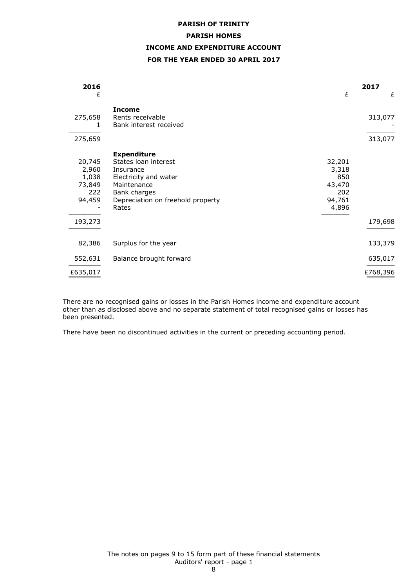# **PARISH OF TRINITY PARISH HOMES INCOME AND EXPENDITURE ACCOUNT FOR THE YEAR ENDED 30 APRIL 2017**

| 2016<br>£                                                      |                                                                                                                                                               | £                                                          | 2017<br>£          |
|----------------------------------------------------------------|---------------------------------------------------------------------------------------------------------------------------------------------------------------|------------------------------------------------------------|--------------------|
| 275,658<br>1<br>275,659                                        | <b>Income</b><br>Rents receivable<br>Bank interest received                                                                                                   |                                                            | 313,077<br>313,077 |
| 20,745<br>2,960<br>1,038<br>73,849<br>222<br>94,459<br>193,273 | <b>Expenditure</b><br>States loan interest<br>Insurance<br>Electricity and water<br>Maintenance<br>Bank charges<br>Depreciation on freehold property<br>Rates | 32,201<br>3,318<br>850<br>43,470<br>202<br>94,761<br>4,896 | 179,698            |
| 82,386                                                         | Surplus for the year                                                                                                                                          |                                                            | 133,379            |
| 552,631                                                        | Balance brought forward                                                                                                                                       |                                                            | 635,017            |
| £635,017                                                       |                                                                                                                                                               |                                                            | £768,396           |

There are no recognised gains or losses in the Parish Homes income and expenditure account other than as disclosed above and no separate statement of total recognised gains or losses has been presented.

There have been no discontinued activities in the current or preceding accounting period.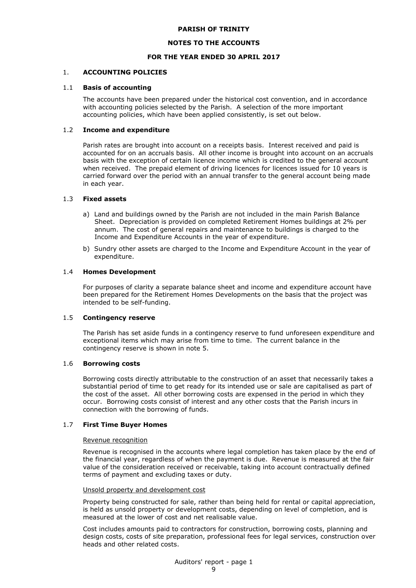#### **NOTES TO THE ACCOUNTS**

#### **FOR THE YEAR ENDED 30 APRIL 2017**

#### 1. **ACCOUNTING POLICIES**

#### 1.1 **Basis of accounting**

The accounts have been prepared under the historical cost convention, and in accordance with accounting policies selected by the Parish. A selection of the more important accounting policies, which have been applied consistently, is set out below.

#### 1.2 **Income and expenditure**

Parish rates are brought into account on a receipts basis. Interest received and paid is accounted for on an accruals basis. All other income is brought into account on an accruals basis with the exception of certain licence income which is credited to the general account when received. The prepaid element of driving licences for licences issued for 10 years is carried forward over the period with an annual transfer to the general account being made in each year.

#### 1.3 **Fixed assets**

- a) Land and buildings owned by the Parish are not included in the main Parish Balance Sheet. Depreciation is provided on completed Retirement Homes buildings at 2% per annum. The cost of general repairs and maintenance to buildings is charged to the Income and Expenditure Accounts in the year of expenditure.
- b) Sundry other assets are charged to the Income and Expenditure Account in the year of expenditure.

#### 1.4 **Homes Development**

For purposes of clarity a separate balance sheet and income and expenditure account have been prepared for the Retirement Homes Developments on the basis that the project was intended to be self-funding.

## 1.5 **Contingency reserve**

The Parish has set aside funds in a contingency reserve to fund unforeseen expenditure and exceptional items which may arise from time to time. The current balance in the contingency reserve is shown in note 5.

#### 1.6 **Borrowing costs**

Borrowing costs directly attributable to the construction of an asset that necessarily takes a substantial period of time to get ready for its intended use or sale are capitalised as part of the cost of the asset. All other borrowing costs are expensed in the period in which they occur. Borrowing costs consist of interest and any other costs that the Parish incurs in connection with the borrowing of funds.

#### 1.7 **First Time Buyer Homes**

#### Revenue recognition

Revenue is recognised in the accounts where legal completion has taken place by the end of the financial year, regardless of when the payment is due. Revenue is measured at the fair value of the consideration received or receivable, taking into account contractually defined terms of payment and excluding taxes or duty.

#### Unsold property and development cost

Property being constructed for sale, rather than being held for rental or capital appreciation, is held as unsold property or development costs, depending on level of completion, and is measured at the lower of cost and net realisable value.

Cost includes amounts paid to contractors for construction, borrowing costs, planning and design costs, costs of site preparation, professional fees for legal services, construction over heads and other related costs.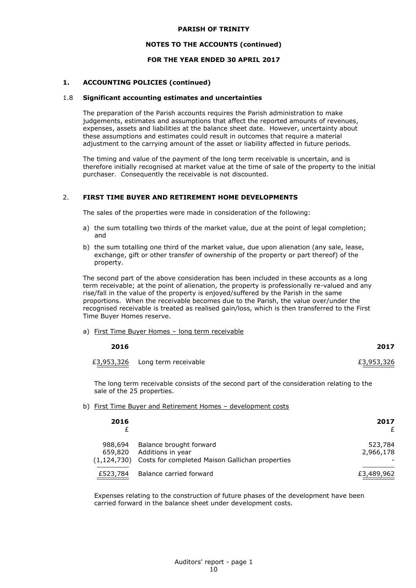#### **NOTES TO THE ACCOUNTS (continued)**

## **FOR THE YEAR ENDED 30 APRIL 2017**

## **1. ACCOUNTING POLICIES (continued)**

#### 1.8 **Significant accounting estimates and uncertainties**

The preparation of the Parish accounts requires the Parish administration to make judgements, estimates and assumptions that affect the reported amounts of revenues, expenses, assets and liabilities at the balance sheet date. However, uncertainty about these assumptions and estimates could result in outcomes that require a material adjustment to the carrying amount of the asset or liability affected in future periods.

The timing and value of the payment of the long term receivable is uncertain, and is therefore initially recognised at market value at the time of sale of the property to the initial purchaser. Consequently the receivable is not discounted.

## 2. **FIRST TIME BUYER AND RETIREMENT HOME DEVELOPMENTS**

The sales of the properties were made in consideration of the following:

- a) the sum totalling two thirds of the market value, due at the point of legal completion; and
- b) the sum totalling one third of the market value, due upon alienation (any sale, lease, exchange, gift or other transfer of ownership of the property or part thereof) of the property.

The second part of the above consideration has been included in these accounts as a long term receivable; at the point of alienation, the property is professionally re-valued and any rise/fall in the value of the property is enjoyed/suffered by the Parish in the same proportions. When the receivable becomes due to the Parish, the value over/under the recognised receivable is treated as realised gain/loss, which is then transferred to the First Time Buyer Homes reserve.

a) First Time Buyer Homes – long term receivable

| 2016 |                                 | 2017       |
|------|---------------------------------|------------|
|      | £3,953,326 Long term receivable | £3,953,326 |

The long term receivable consists of the second part of the consideration relating to the sale of the 25 properties.

#### b) First Time Buyer and Retirement Homes - development costs

| 2016        |                                                 | 2017<br>£  |
|-------------|-------------------------------------------------|------------|
| 988,694     | Balance brought forward                         | 523,784    |
| 659,820     | Additions in year                               | 2,966,178  |
| (1,124,730) | Costs for completed Maison Gallichan properties |            |
| £523,784    | Balance carried forward                         | £3,489,962 |

Expenses relating to the construction of future phases of the development have been carried forward in the balance sheet under development costs.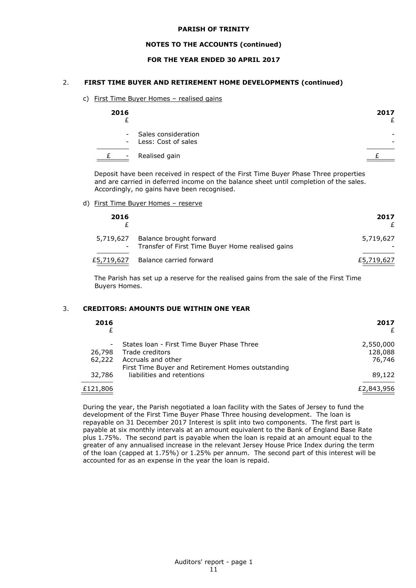## **NOTES TO THE ACCOUNTS (continued)**

## **FOR THE YEAR ENDED 30 APRIL 2017**

## 2. **FIRST TIME BUYER AND RETIREMENT HOME DEVELOPMENTS (continued)**

c) First Time Buyer Homes – realised gains

| 2016   |                                                | 2017 |
|--------|------------------------------------------------|------|
|        | - Sales consideration<br>- Less: Cost of sales |      |
| $\sim$ | Realised gain                                  |      |

Deposit have been received in respect of the First Time Buyer Phase Three properties and are carried in deferred income on the balance sheet until completion of the sales. Accordingly, no gains have been recognised.

d) First Time Buyer Homes – reserve

| 2016 |                                                                                         | 2017       |
|------|-----------------------------------------------------------------------------------------|------------|
|      | 5,719,627 Balance brought forward<br>- Transfer of First Time Buyer Home realised gains | 5,719,627  |
|      | £5,719,627 Balance carried forward                                                      | £5,719,627 |

The Parish has set up a reserve for the realised gains from the sale of the First Time Buyers Homes.

#### 3. **CREDITORS: AMOUNTS DUE WITHIN ONE YEAR**

| 2016<br>£ |                                                   | 2017<br>£  |
|-----------|---------------------------------------------------|------------|
|           | States Ioan - First Time Buyer Phase Three        | 2,550,000  |
| 26,798    | Trade creditors                                   | 128,088    |
| 62,222    | Accruals and other                                | 76,746     |
|           | First Time Buyer and Retirement Homes outstanding |            |
| 32,786    | liabilities and retentions                        | 89,122     |
| £121,806  |                                                   | £2,843,956 |

During the year, the Parish negotiated a loan facility with the Sates of Jersey to fund the development of the First Time Buyer Phase Three housing development. The loan is repayable on 31 December 2017 Interest is split into two components. The first part is payable at six monthly intervals at an amount equivalent to the Bank of England Base Rate plus 1.75%. The second part is payable when the loan is repaid at an amount equal to the greater of any annualised increase in the relevant Jersey House Price Index during the term of the loan (capped at 1.75%) or 1.25% per annum. The second part of this interest will be accounted for as an expense in the year the loan is repaid.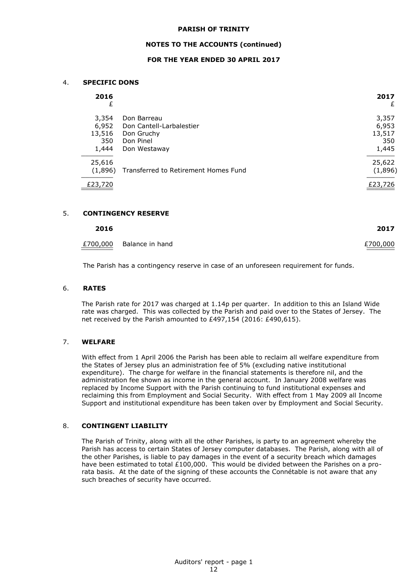#### **NOTES TO THE ACCOUNTS (continued)**

## **FOR THE YEAR ENDED 30 APRIL 2017**

#### 4. **SPECIFIC DONS**

| 2016<br>£ |                                      | 2017<br>£ |
|-----------|--------------------------------------|-----------|
| 3,354     | Don Barreau                          | 3,357     |
| 6,952     | Don Cantell-Larbalestier             | 6,953     |
| 13,516    | Don Gruchy                           | 13,517    |
| 350       | Don Pinel                            | 350       |
| 1,444     | Don Westaway                         | 1,445     |
| 25,616    |                                      | 25,622    |
| (1,896)   | Transferred to Retirement Homes Fund | (1,896)   |
| £23,720   |                                      | £23,726   |

#### 5. **CONTINGENCY RESERVE**

| £700,000 Balance in hand | £700,000 |
|--------------------------|----------|

**2016 2017**

The Parish has a contingency reserve in case of an unforeseen requirement for funds.

#### 6. **RATES**

The Parish rate for 2017 was charged at 1.14p per quarter. In addition to this an Island Wide rate was charged. This was collected by the Parish and paid over to the States of Jersey. The net received by the Parish amounted to £497,154 (2016: £490,615).

## 7. **WELFARE**

With effect from 1 April 2006 the Parish has been able to reclaim all welfare expenditure from the States of Jersey plus an administration fee of 5% (excluding native institutional expenditure). The charge for welfare in the financial statements is therefore nil, and the administration fee shown as income in the general account. In January 2008 welfare was replaced by Income Support with the Parish continuing to fund institutional expenses and reclaiming this from Employment and Social Security. With effect from 1 May 2009 all Income Support and institutional expenditure has been taken over by Employment and Social Security.

## 8. **CONTINGENT LIABILITY**

The Parish of Trinity, along with all the other Parishes, is party to an agreement whereby the Parish has access to certain States of Jersey computer databases. The Parish, along with all of the other Parishes, is liable to pay damages in the event of a security breach which damages have been estimated to total  $£100,000$ . This would be divided between the Parishes on a prorata basis. At the date of the signing of these accounts the Connétable is not aware that any such breaches of security have occurred.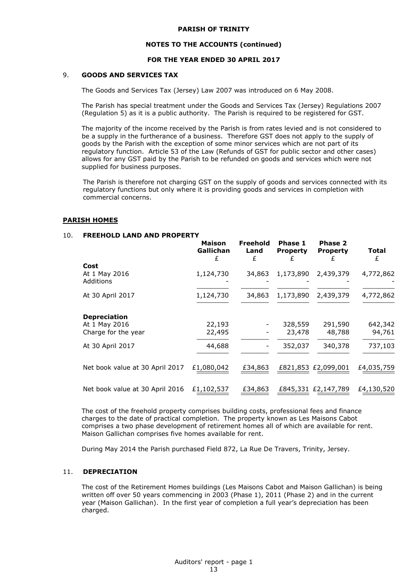#### **NOTES TO THE ACCOUNTS (continued)**

## **FOR THE YEAR ENDED 30 APRIL 2017**

## 9. **GOODS AND SERVICES TAX**

The Goods and Services Tax (Jersey) Law 2007 was introduced on 6 May 2008.

The Parish has special treatment under the Goods and Services Tax (Jersey) Regulations 2007 (Regulation 5) as it is a public authority. The Parish is required to be registered for GST.

The majority of the income received by the Parish is from rates levied and is not considered to be a supply in the furtherance of a business. Therefore GST does not apply to the supply of goods by the Parish with the exception of some minor services which are not part of its regulatory function. Article 53 of the Law (Refunds of GST for public sector and other cases) allows for any GST paid by the Parish to be refunded on goods and services which were not supplied for business purposes.

The Parish is therefore not charging GST on the supply of goods and services connected with its regulatory functions but only where it is providing goods and services in completion with commercial concerns.

#### **PARISH HOMES**

#### 10. **FREEHOLD LAND AND PROPERTY**

|                                                             | <b>Maison</b><br>Gallichan<br>£ | Freehold<br>Land<br>£ | Phase 1<br><b>Property</b> | <b>Phase 2</b><br><b>Property</b> | Total<br>£        |
|-------------------------------------------------------------|---------------------------------|-----------------------|----------------------------|-----------------------------------|-------------------|
| Cost<br>At 1 May 2016<br>Additions                          | 1,124,730                       | 34,863                | 1,173,890                  | 2,439,379                         | 4,772,862         |
| At 30 April 2017                                            | 1,124,730                       | 34,863                | 1,173,890                  | 2,439,379                         | 4,772,862         |
| <b>Depreciation</b><br>At 1 May 2016<br>Charge for the year | 22,193<br>22,495                |                       | 328,559<br>23,478          | 291,590<br>48,788                 | 642,342<br>94,761 |
| At 30 April 2017                                            | 44,688                          |                       | 352,037                    | 340,378                           | 737,103           |
| Net book value at 30 April 2017                             | £1,080,042                      | £34,863               |                            | £821,853 £2,099,001               | £4,035,759        |
| Net book value at 30 April 2016                             | £1,102,537                      | £34,863               |                            | £845,331 £2,147,789               | £4,130,520        |

The cost of the freehold property comprises building costs, professional fees and finance charges to the date of practical completion. The property known as Les Maisons Cabot comprises a two phase development of retirement homes all of which are available for rent. Maison Gallichan comprises five homes available for rent.

During May 2014 the Parish purchased Field 872, La Rue De Travers, Trinity, Jersey.

#### 11. **DEPRECIATION**

The cost of the Retirement Homes buildings (Les Maisons Cabot and Maison Gallichan) is being written off over 50 years commencing in 2003 (Phase 1), 2011 (Phase 2) and in the current year (Maison Gallichan). In the first year of completion a full year's depreciation has been charged.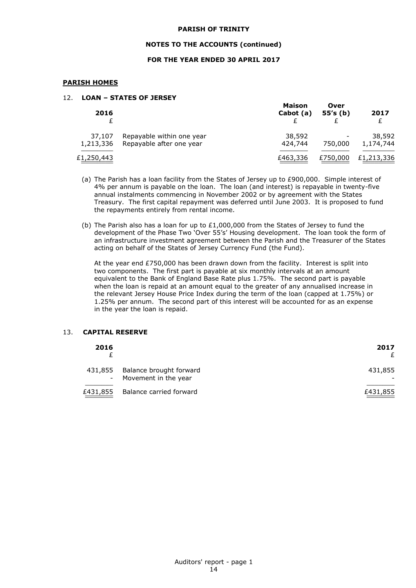#### **NOTES TO THE ACCOUNTS (continued)**

## **FOR THE YEAR ENDED 30 APRIL 2017**

## **PARISH HOMES**

## 12. **LOAN – STATES OF JERSEY**

| 2016       |                           | <b>Maison</b><br>Cabot (a) | Over<br>55's(b) | 2017       |
|------------|---------------------------|----------------------------|-----------------|------------|
| 37,107     | Repayable within one year | 38,592                     |                 | 38,592     |
| 1,213,336  | Repayable after one year  | 424,744                    | 750,000         | 1,174,744  |
| £1,250,443 |                           | £463,336                   | £750,000        | £1,213,336 |

- (a) The Parish has a loan facility from the States of Jersey up to £900,000. Simple interest of 4% per annum is payable on the loan. The loan (and interest) is repayable in twenty-five annual instalments commencing in November 2002 or by agreement with the States Treasury. The first capital repayment was deferred until June 2003. It is proposed to fund the repayments entirely from rental income.
- (b) The Parish also has a loan for up to  $£1,000,000$  from the States of Jersey to fund the development of the Phase Two 'Over 55's' Housing development. The loan took the form of an infrastructure investment agreement between the Parish and the Treasurer of the States acting on behalf of the States of Jersey Currency Fund (the Fund).

At the year end £750,000 has been drawn down from the facility. Interest is split into two components. The first part is payable at six monthly intervals at an amount equivalent to the Bank of England Base Rate plus 1.75%. The second part is payable when the loan is repaid at an amount equal to the greater of any annualised increase in the relevant Jersey House Price Index during the term of the loan (capped at 1.75%) or 1.25% per annum. The second part of this interest will be accounted for as an expense in the year the loan is repaid.

## 13. **CAPITAL RESERVE**

| 2016 |                                                           | 2017<br>£ |
|------|-----------------------------------------------------------|-----------|
|      | 431,855 Balance brought forward<br>- Movement in the year | 431,855   |
|      | £431,855 Balance carried forward                          | £431,855  |